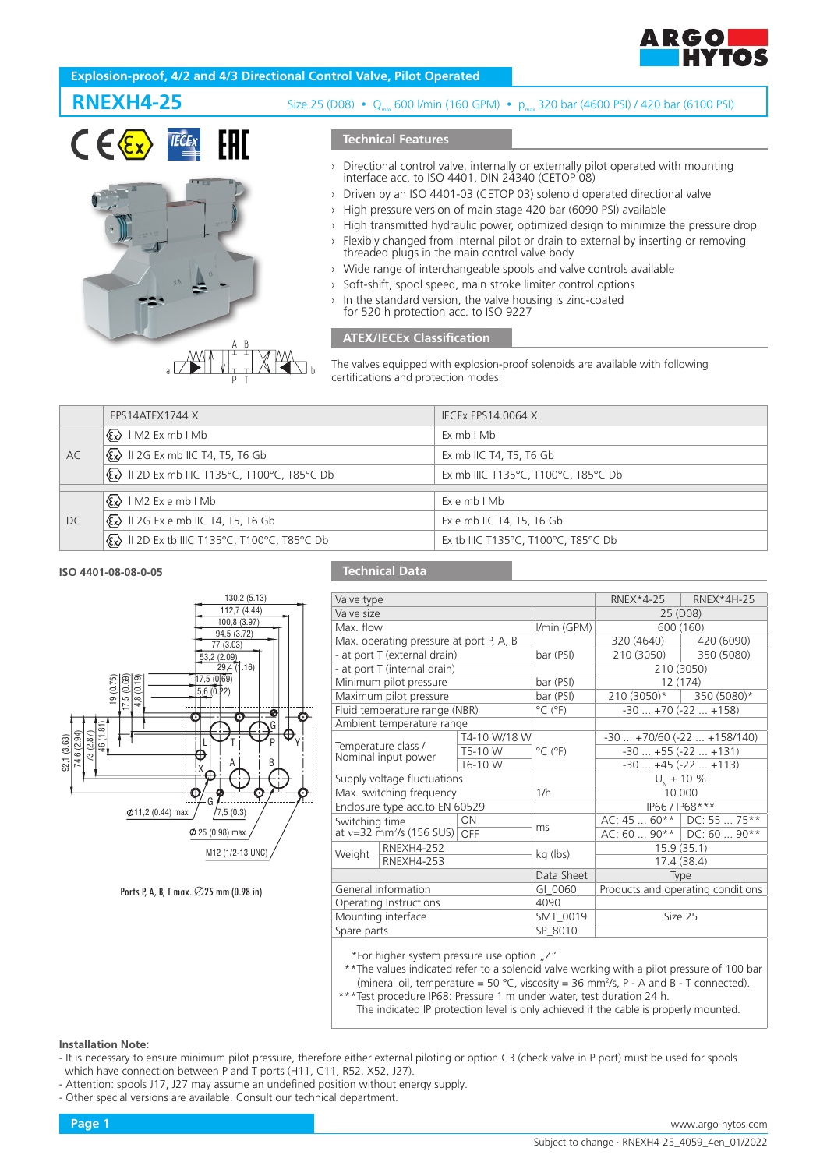

# **Explosion-proof, 4/2 and 4/3 Directional Control Valve, Pilot Operated**





# **RNEXH4-25** Size 25 (D08) · Q<sub>max</sub> 600 l/min (160 GPM) · pmax 320 bar (4600 PSI) / 420 bar (6100 PSI)

## **Technical Features**

- › Directional control valve, internally or externally pilot operated with mounting interface acc. to ISO 4401, DIN 24340 (CETOP 08)
- Driven by an ISO 4401-03 (CETOP 03) solenoid operated directional valve
- › High pressure version of main stage 420 bar (6090 PSI) available
- › High transmitted hydraulic power, optimized design to minimize the pressure drop
- Flexibly changed from internal pilot or drain to external by inserting or removing threaded plugs in the main control valve body
- › Wide range of interchangeable spools and valve controls available
- Soft-shift, spool speed, main stroke limiter control options
- In the standard version, the valve housing is zinc-coated for 520 h protection acc. to ISO 9227

## **ATEX/IECEx Classification**

The valves equipped with explosion-proof solenoids are available with following certifications and protection modes:

|    | EPS14ATEX1744 X                                                                             | <b>IECEX EPS14.0064 X</b>           |
|----|---------------------------------------------------------------------------------------------|-------------------------------------|
| AC | $\langle \xi_{\mathbf{x}} \rangle$   M2 Ex mb   Mb                                          | ExmbIMb                             |
|    | $\langle \xi \overline{x} \rangle$ II 2G Ex mb IIC T4, T5, T6 Gb                            | Ex mb IIC T4, T5, T6 Gb             |
|    | $\langle \mathbf{\mathbb{R}} \rangle$ II 2D Ex mb IIIC T135°C, T100°C, T85°C Db             | Ex mb IIIC T135°C, T100°C, T85°C Db |
|    |                                                                                             |                                     |
| DC | $\langle \xi_{\mathbf{x}} \rangle$ IM2 Exemb IMb                                            | Ex e mb I Mb                        |
|    | $\langle \xi_{\mathbf{x}} \rangle$ II 2G Ex e mb IIC T4, T5, T6 Gb                          | Ex e mb IIC T4, T5, T6 Gb           |
|    | $\langle \mathbf{\mathcal{E}} \mathbf{x} \rangle$ II 2D Ex tb IIIC T135°C, T100°C, T85°C Db | Ex tb IIIC T135°C, T100°C, T85°C Db |

### **ISO 4401-08-08-0-05**



Ports P, A, B, T max. ∅25 mm (0.98 in)

## **Technical Data**

| Valve type                     |                                            |              | $RNEX*4-25$                       | RNEX*4H-25                          |                                             |  |
|--------------------------------|--------------------------------------------|--------------|-----------------------------------|-------------------------------------|---------------------------------------------|--|
| Valve size                     |                                            |              |                                   | 25 (D08)                            |                                             |  |
| Max. flow                      |                                            | I/min (GPM)  | 600 (160)                         |                                     |                                             |  |
|                                | Max. operating pressure at port P, A, B    |              |                                   |                                     | 320 (4640)   420 (6090)                     |  |
|                                | - at port T (external drain)               |              | bar (PSI)                         | 210 (3050)                          | 350 (5080)                                  |  |
|                                | - at port T (internal drain)               |              |                                   | 210 (3050)                          |                                             |  |
|                                | Minimum pilot pressure                     |              | bar (PSI)                         | 12 (174)                            |                                             |  |
|                                | Maximum pilot pressure                     |              | bar (PSI)                         | $210(3050)*$                        | 350 (5080)*                                 |  |
|                                | Fluid temperature range (NBR)              |              | $^{\circ}$ C ( $^{\circ}$ F)      | $-30+70(-22+158)$                   |                                             |  |
|                                | Ambient temperature range                  |              |                                   |                                     |                                             |  |
|                                |                                            | T4-10 W/18 W |                                   | $-30$ $+70/60$ ( $-22$ $+158/140$ ) |                                             |  |
|                                | Temperature class /<br>Nominal input power | T5-10 W      | $^{\circ}$ C ( $^{\circ}$ F)      | $-30+55(-22+131)$                   |                                             |  |
|                                |                                            | T6-10 W      |                                   | $-30+45(-22+113)$                   |                                             |  |
| Supply voltage fluctuations    |                                            |              | $U_{N}$ ± 10 %                    |                                     |                                             |  |
| Max. switching frequency       |                                            | 1/h          | 10 000                            |                                     |                                             |  |
| Enclosure type acc.to EN 60529 |                                            |              | IP66 / IP68***                    |                                     |                                             |  |
| <b>ON</b><br>Switching time    |                                            | ms           |                                   | AC: 45  60**   DC: 55  75**         |                                             |  |
|                                | at v=32 mm <sup>2</sup> /s (156 SUS) OFF   |              |                                   |                                     | AC: 60 $\ldots$ 90**   DC: 60 $\ldots$ 90** |  |
| Weight                         | <b>RNEXH4-252</b><br><b>RNEXH4-253</b>     |              | kg (lbs)                          | 15.9(35.1)                          |                                             |  |
|                                |                                            |              |                                   | 17.4 (38.4)                         |                                             |  |
|                                |                                            | Data Sheet   | Type                              |                                     |                                             |  |
| General information            |                                            | GI 0060      | Products and operating conditions |                                     |                                             |  |
| Operating Instructions         |                                            | 4090         |                                   |                                     |                                             |  |
| Mounting interface             |                                            | SMT 0019     | Size 25                           |                                     |                                             |  |
| Spare parts                    |                                            | SP 8010      |                                   |                                     |                                             |  |
|                                |                                            |              |                                   |                                     |                                             |  |

\*For higher system pressure use option "Z"

- \*\*The values indicated refer to a solenoid valve working with a pilot pressure of 100 bar (mineral oil, temperature = 50 °C, viscosity = 36 mm<sup>2</sup>/s, P - A and B - T connected).
- \*Test procedure IP68: Pressure 1 m under water, test duration 24 h.

The indicated IP protection level is only achieved if the cable is properly mounted.

#### **Installation Note:**

- It is necessary to ensure minimum pilot pressure, therefore either external piloting or option C3 (check valve in P port) must be used for spools which have connection between P and T ports (H11, C11, R52, X52, J27).
- Attention: spools J17, J27 may assume an undefined position without energy supply.
- Other special versions are available. Consult our technical department.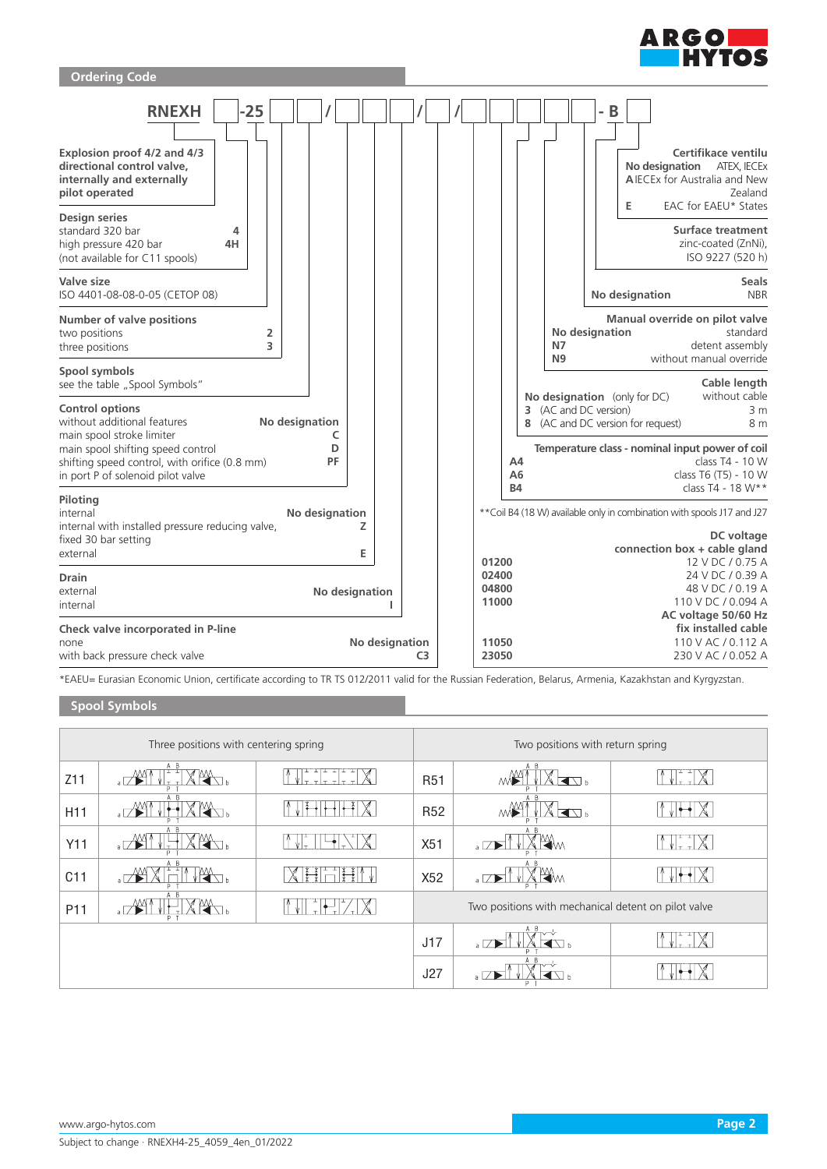



\*EAEU= Eurasian Economic Union, certificate according to TR TS 012/2011 valid for the Russian Federation, Belarus, Armenia, Kazakhstan and Kyrgyzstan.

# **Spool Symbols**

| Three positions with centering spring |                            |  | Two positions with return spring                    |                                |                            |  |
|---------------------------------------|----------------------------|--|-----------------------------------------------------|--------------------------------|----------------------------|--|
| Z11                                   | A B<br>$\sqrt{M}$<br>Þ     |  | <b>R51</b>                                          | A B<br>◀◹▵<br>٨M               |                            |  |
| H11                                   | $\overline{a}$             |  | <b>R52</b>                                          | $\blacksquare$<br>٨M           |                            |  |
| Y11                                   |                            |  | X51                                                 | A B<br><b>KW</b><br>$\sqrt{ }$ | $\mathbb X$<br>$\pm$ $\pm$ |  |
| C11                                   | A B<br>$\overline{a}$<br>P |  | X52                                                 | A B<br>Ѭм<br>$\sqrt{ }$        |                            |  |
| P <sub>11</sub>                       | A B                        |  | Two positions with mechanical detent on pilot valve |                                |                            |  |
|                                       |                            |  | J17                                                 | $\overline{a}$                 |                            |  |
|                                       |                            |  | J27                                                 |                                |                            |  |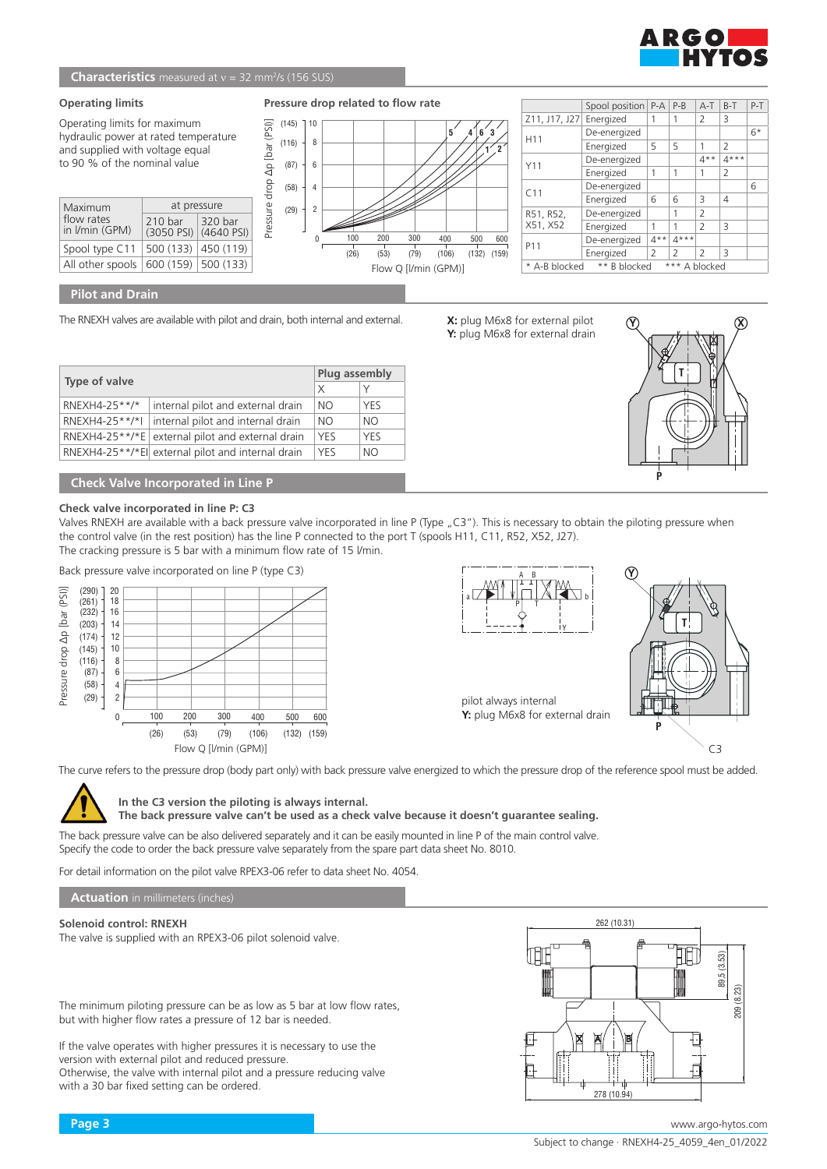

### **Characteristics** measured at v = 32 mm<sup>2</sup>/s (156 SUS)

#### **Operating limits**

Operating limits for maximum hydraulic power at rated temperature and supplied with voltage equal to 90 % of the nominal value

| Maximum                      | at pressure        |                                                      |  |  |
|------------------------------|--------------------|------------------------------------------------------|--|--|
| flow rates<br>in I/min (GPM) | 210 <sub>bar</sub> | 320 bar<br>$(3050 \text{ PSI})$ $(4640 \text{ PSI})$ |  |  |
| Spool type C11               | 500 (133)          | 450 (119)                                            |  |  |
| All other spools             |                    | $600(159)$ 500 (133)                                 |  |  |

#### $(145)$ 10 **Pressure drop related to flow rate**



|                                                | Spool position   P-A |                | $P-B$          | $A-T$          | $B-T$          | $P-T$ |
|------------------------------------------------|----------------------|----------------|----------------|----------------|----------------|-------|
| Z11, J17, J27                                  | Energized            | 1              | 1              | 2              | 3              |       |
| H <sub>11</sub>                                | De-energized         |                |                |                |                | $6*$  |
|                                                | Energized            | 5              | 5              | 1              | $\overline{2}$ |       |
| Y11                                            | De-energized         |                |                | $4**$          | $4***$         |       |
|                                                | Energized            | 1              | 1              | 1              | $\overline{2}$ |       |
| C <sub>11</sub>                                | De-energized         |                |                |                |                | 6     |
|                                                | Energized            | 6              | 6              | 3              | 4              |       |
| R51, R52,                                      | De-energized         |                | 1              | 2              |                |       |
| X51, X52                                       | Energized            | 1              | 1              | $\mathcal{P}$  | 3              |       |
| P11                                            | De-energized         | $4**$          | $4***$         |                |                |       |
|                                                | Energized            | $\overline{2}$ | $\overline{2}$ | $\overline{2}$ | 3              |       |
| ** B blocked<br>*** A blocked<br>* A-B blocked |                      |                |                |                |                |       |

## **Pilot and Drain**

The RNEXH valves are available with pilot and drain, both internal and external.

|                      |                                                    |            | Plug assembly |  |  |
|----------------------|----------------------------------------------------|------------|---------------|--|--|
| <b>Type of valve</b> |                                                    | $\times$   |               |  |  |
| RNEXH4-25**/*        | internal pilot and external drain                  | NO.        | <b>YFS</b>    |  |  |
|                      | RNEXH4-25**/*I   internal pilot and internal drain | NO.        | NO.           |  |  |
|                      | RNEXH4-25**/*E external pilot and external drain   | <b>YFS</b> | <b>YFS</b>    |  |  |
|                      | RNEXH4-25**/*El  external pilot and internal drain | <b>YFS</b> | NO.           |  |  |

## **Check Valve Incorporated in Line P**

#### **Check valve incorporated in line P: C3**

Valves RNEXH are available with a back pressure valve incorporated in line P (Type "C3"). This is necessary to obtain the piloting pressure when the control valve (in the rest position) has the line P connected to the port T (spools H11, C11, R52, X52, J27). The cracking pressure is 5 bar with a minimum flow rate of 15 l/min.

Back pressure valve incorporated on line P (type C3)







pilot always internal **Y:** plug M6x8 for external drain



**In the C3 version the piloting is always internal.**

**The back pressure valve can't be used as a check valve because it doesn't guarantee sealing.**

The back pressure valve can be also delivered separately and it can be easily mounted in line P of the main control valve. Specify the code to order the back pressure valve separately from the spare part data sheet No. 8010.

For detail information on the pilot valve RPEX3-06 refer to data sheet No. 4054.

**Actuation** in millimeters (inches)

## **Solenoid control: RNEXH**

The valve is supplied with an RPEX3-06 pilot solenoid valve.

The minimum piloting pressure can be as low as 5 bar at low flow rates, but with higher flow rates a pressure of 12 bar is needed.

If the valve operates with higher pressures it is necessary to use the version with external pilot and reduced pressure. Otherwise, the valve with internal pilot and a pressure reducing valve with a 30 bar fixed setting can be ordered.